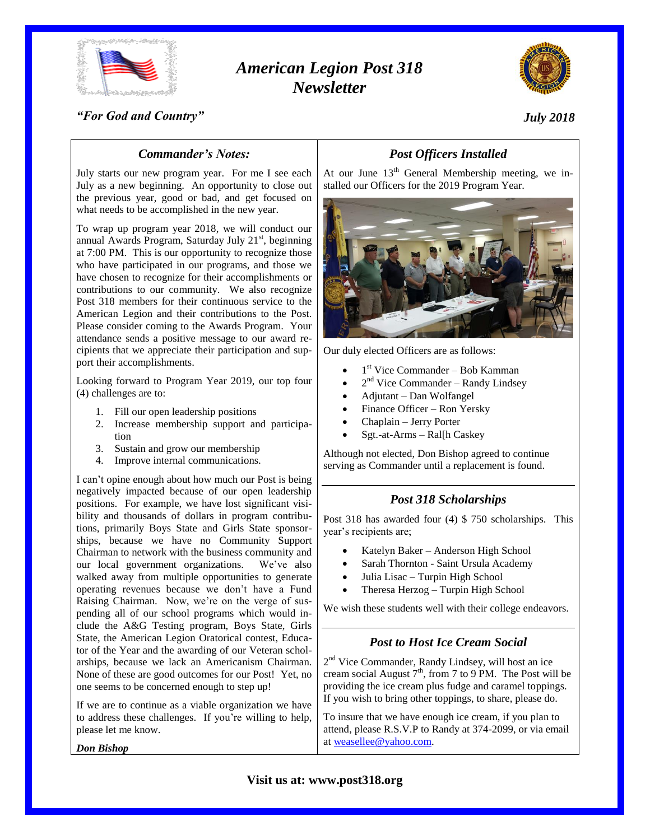

# *American Legion Post 318 Newsletter*



#### *"For God and Country"*

# *July 2018*

# *Commander's Notes:*

July starts our new program year. For me I see each July as a new beginning. An opportunity to close out the previous year, good or bad, and get focused on what needs to be accomplished in the new year.

To wrap up program year 2018, we will conduct our annual Awards Program, Saturday July  $21<sup>st</sup>$ , beginning at 7:00 PM. This is our opportunity to recognize those who have participated in our programs, and those we have chosen to recognize for their accomplishments or contributions to our community. We also recognize Post 318 members for their continuous service to the American Legion and their contributions to the Post. Please consider coming to the Awards Program. Your attendance sends a positive message to our award recipients that we appreciate their participation and support their accomplishments.

Looking forward to Program Year 2019, our top four (4) challenges are to:

- 1. Fill our open leadership positions
- 2. Increase membership support and participation
- 3. Sustain and grow our membership
- 4. Improve internal communications.

I can't opine enough about how much our Post is being negatively impacted because of our open leadership positions. For example, we have lost significant visibility and thousands of dollars in program contributions, primarily Boys State and Girls State sponsorships, because we have no Community Support Chairman to network with the business community and our local government organizations. We've also walked away from multiple opportunities to generate operating revenues because we don't have a Fund Raising Chairman. Now, we're on the verge of suspending all of our school programs which would include the A&G Testing program, Boys State, Girls State, the American Legion Oratorical contest, Educator of the Year and the awarding of our Veteran scholarships, because we lack an Americanism Chairman. None of these are good outcomes for our Post! Yet, no one seems to be concerned enough to step up!

If we are to continue as a viable organization we have to address these challenges. If you're willing to help, please let me know.

*Don Bishop*

# *Post Officers Installed*

At our June  $13<sup>th</sup>$  General Membership meeting, we installed our Officers for the 2019 Program Year.



Our duly elected Officers are as follows:

- $\bullet$  1<sup>st</sup> Vice Commander Bob Kamman
- $\bullet$  2<sup>nd</sup> Vice Commander Randy Lindsey
- Adjutant Dan Wolfangel
- Finance Officer Ron Yersky
- Chaplain Jerry Porter
- Sgt.-at-Arms Ral[h Caskey

Although not elected, Don Bishop agreed to continue serving as Commander until a replacement is found.

### *Post 318 Scholarships*

Post 318 has awarded four (4) \$ 750 scholarships. This year's recipients are;

- Katelyn Baker Anderson High School
- Sarah Thornton Saint Ursula Academy
- Julia Lisac Turpin High School
- Theresa Herzog Turpin High School

We wish these students well with their college endeavors.

## *Post to Host Ice Cream Social*

2<sup>nd</sup> Vice Commander, Randy Lindsey, will host an ice cream social August  $7<sup>th</sup>$ , from 7 to 9 PM. The Post will be providing the ice cream plus fudge and caramel toppings. If you wish to bring other toppings, to share, please do.

To insure that we have enough ice cream, if you plan to attend, please R.S.V.P to Randy at 374-2099, or via email at [weasellee@yahoo.com.](mailto:weasellee@yahoo.com)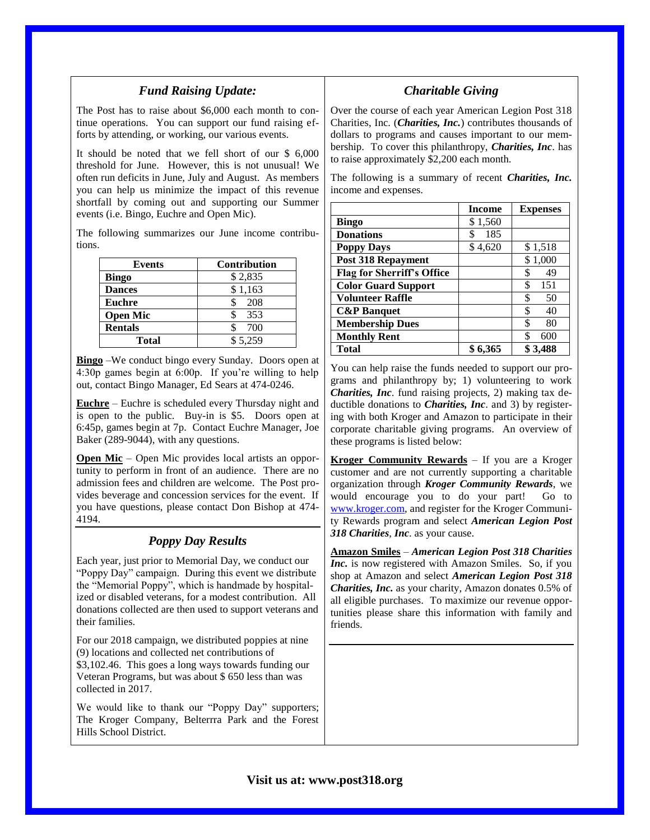## *Fund Raising Update:*

The Post has to raise about \$6,000 each month to continue operations. You can support our fund raising efforts by attending, or working, our various events.

It should be noted that we fell short of our \$ 6,000 threshold for June. However, this is not unusual! We often run deficits in June, July and August. As members you can help us minimize the impact of this revenue shortfall by coming out and supporting our Summer events (i.e. Bingo, Euchre and Open Mic).

The following summarizes our June income contributions.

| Events          | <b>Contribution</b> |
|-----------------|---------------------|
| <b>Bingo</b>    | \$2,835             |
| <b>Dances</b>   | \$1,163             |
| <b>Euchre</b>   | 208                 |
| <b>Open Mic</b> | 353                 |
| <b>Rentals</b>  | 700                 |
| Total           | \$5.259             |

**Bingo** –We conduct bingo every Sunday. Doors open at 4:30p games begin at 6:00p. If you're willing to help out, contact Bingo Manager, Ed Sears at 474-0246.

**Euchre** – Euchre is scheduled every Thursday night and is open to the public. Buy-in is \$5. Doors open at 6:45p, games begin at 7p. Contact Euchre Manager, Joe Baker (289-9044), with any questions.

**Open Mic** – Open Mic provides local artists an opportunity to perform in front of an audience. There are no admission fees and children are welcome. The Post provides beverage and concession services for the event. If you have questions, please contact Don Bishop at 474- 4194.

### *Poppy Day Results*

Each year, just prior to Memorial Day, we conduct our "Poppy Day" campaign. During this event we distribute the "Memorial Poppy", which is handmade by hospitalized or disabled veterans, for a modest contribution. All donations collected are then used to support veterans and their families.

For our 2018 campaign, we distributed poppies at nine (9) locations and collected net contributions of \$3,102.46. This goes a long ways towards funding our Veteran Programs, but was about \$ 650 less than was collected in 2017.

We would like to thank our "Poppy Day" supporters; The Kroger Company, Belterrra Park and the Forest Hills School District.

### *Charitable Giving*

Over the course of each year American Legion Post 318 Charities, Inc. (*Charities, Inc.*) contributes thousands of dollars to programs and causes important to our membership. To cover this philanthropy, *Charities, Inc*. has to raise approximately \$2,200 each month.

The following is a summary of recent *Charities, Inc.* income and expenses.

|                                   | <b>Income</b> | <b>Expenses</b> |
|-----------------------------------|---------------|-----------------|
| Bingo                             | \$1,560       |                 |
| <b>Donations</b>                  | 185<br>\$     |                 |
| <b>Poppy Days</b>                 | \$4,620       | \$1,518         |
| <b>Post 318 Repayment</b>         |               | \$1,000         |
| <b>Flag for Sherriff's Office</b> |               | \$<br>49        |
| <b>Color Guard Support</b>        |               | \$<br>151       |
| <b>Volunteer Raffle</b>           |               | \$<br>50        |
| <b>C&amp;P Banquet</b>            |               | \$<br>40        |
| <b>Membership Dues</b>            |               | \$<br>80        |
| <b>Monthly Rent</b>               |               | \$<br>600       |
| <b>Total</b>                      | \$6.365       | \$3,488         |

You can help raise the funds needed to support our programs and philanthropy by; 1) volunteering to work *Charities, Inc*. fund raising projects, 2) making tax deductible donations to *Charities, Inc*. and 3) by registering with both Kroger and Amazon to participate in their corporate charitable giving programs. An overview of these programs is listed below:

**Kroger Community Rewards** – If you are a Kroger customer and are not currently supporting a charitable organization through *Kroger Community Rewards*, we would encourage you to do your part! Go to [www.kroger.com,](http://www.kroger.com/) and register for the Kroger Community Rewards program and select *American Legion Post 318 Charities*, *Inc*. as your cause.

**Amazon Smiles** – *American Legion Post 318 Charities Inc.* is now registered with Amazon Smiles. So, if you shop at Amazon and select *American Legion Post 318 Charities, Inc.* as your charity, Amazon donates 0.5% of all eligible purchases. To maximize our revenue opportunities please share this information with family and friends.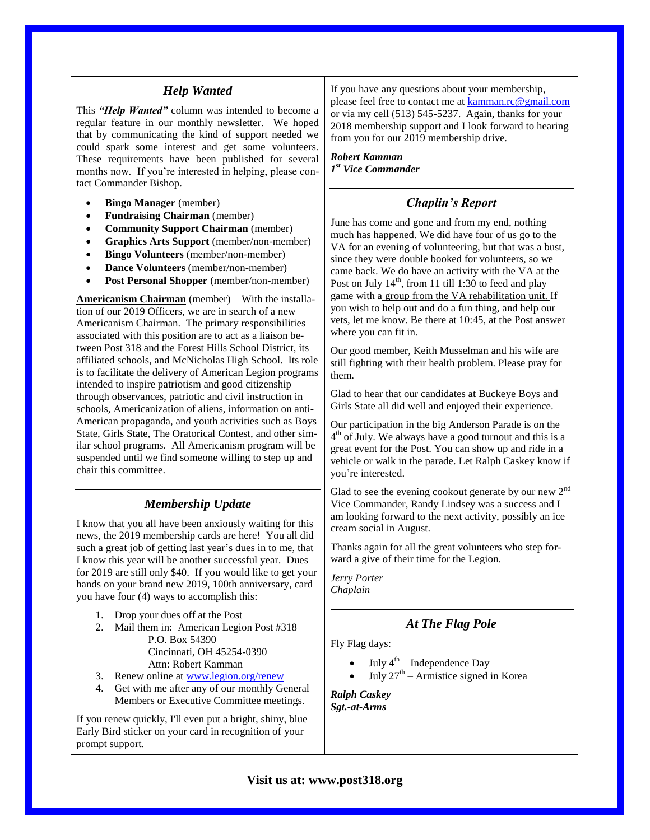#### *Help Wanted*

This *"Help Wanted"* column was intended to become a regular feature in our monthly newsletter. We hoped that by communicating the kind of support needed we could spark some interest and get some volunteers. These requirements have been published for several months now. If you're interested in helping, please contact Commander Bishop.

- **Bingo Manager** (member)
- **Fundraising Chairman** (member)
- **Community Support Chairman** (member)
- **Graphics Arts Support** (member/non-member)
- **Bingo Volunteers** (member/non-member)
- **Dance Volunteers** (member/non-member)
- **Post Personal Shopper** (member/non-member)

**Americanism Chairman** (member) – With the installation of our 2019 Officers, we are in search of a new Americanism Chairman. The primary responsibilities associated with this position are to act as a liaison between Post 318 and the Forest Hills School District, its affiliated schools, and McNicholas High School. Its role is to facilitate the delivery of American Legion programs intended to inspire patriotism and good citizenship through observances, patriotic and civil instruction in schools, Americanization of aliens, information on anti-American propaganda, and youth activities such as Boys State, Girls State, The Oratorical Contest, and other similar school programs. All Americanism program will be suspended until we find someone willing to step up and chair this committee.

# *Membership Update*

I know that you all have been anxiously waiting for this news, the 2019 membership cards are here! You all did such a great job of getting last year's dues in to me, that I know this year will be another successful year. Dues for 2019 are still only \$40. If you would like to get your hands on your brand new 2019, 100th anniversary, card you have four (4) ways to accomplish this:

- 1. Drop your dues off at the Post
- 2. Mail them in: American Legion Post #318 P.O. Box 54390 Cincinnati, OH 45254-0390 Attn: Robert Kamman
- 3. Renew online at [www.legion.org/renew](http://www.legion.org/renew)
- 4. Get with me after any of our monthly General Members or Executive Committee meetings.

If you renew quickly, I'll even put a bright, shiny, blue Early Bird sticker on your card in recognition of your prompt support.

If you have any questions about your membership, please feel free to contact me at [kamman.rc@gmail.com](mailto:kamman.rc@gmail.com) or via my cell (513) 545-5237. Again, thanks for your 2018 membership support and I look forward to hearing from you for our 2019 membership drive.

*Robert Kamman 1 st Vice Commander*

## *Chaplin's Report*

June has come and gone and from my end, nothing much has happened. We did have four of us go to the VA for an evening of volunteering, but that was a bust, since they were double booked for volunteers, so we came back. We do have an activity with the VA at the Post on July  $14<sup>th</sup>$ , from 11 till 1:30 to feed and play game with a group from the VA rehabilitation unit. If you wish to help out and do a fun thing, and help our vets, let me know. Be there at 10:45, at the Post answer where you can fit in.

Our good member, Keith Musselman and his wife are still fighting with their health problem. Please pray for them.

Glad to hear that our candidates at Buckeye Boys and Girls State all did well and enjoyed their experience.

Our participation in the big Anderson Parade is on the 4<sup>th</sup> of July. We always have a good turnout and this is a great event for the Post. You can show up and ride in a vehicle or walk in the parade. Let Ralph Caskey know if you're interested.

Glad to see the evening cookout generate by our new  $2<sup>nd</sup>$ Vice Commander, Randy Lindsey was a success and I am looking forward to the next activity, possibly an ice cream social in August.

Thanks again for all the great volunteers who step forward a give of their time for the Legion.

*Jerry Porter Chaplain*

# *At The Flag Pole*

Fly Flag days:

- $\bullet$  July 4<sup>th</sup> Independence Day
- $\bullet$  July 27<sup>th</sup> Armistice signed in Korea

*Ralph Caskey Sgt.-at-Arms*

#### **Visit us at: www.post318.org**